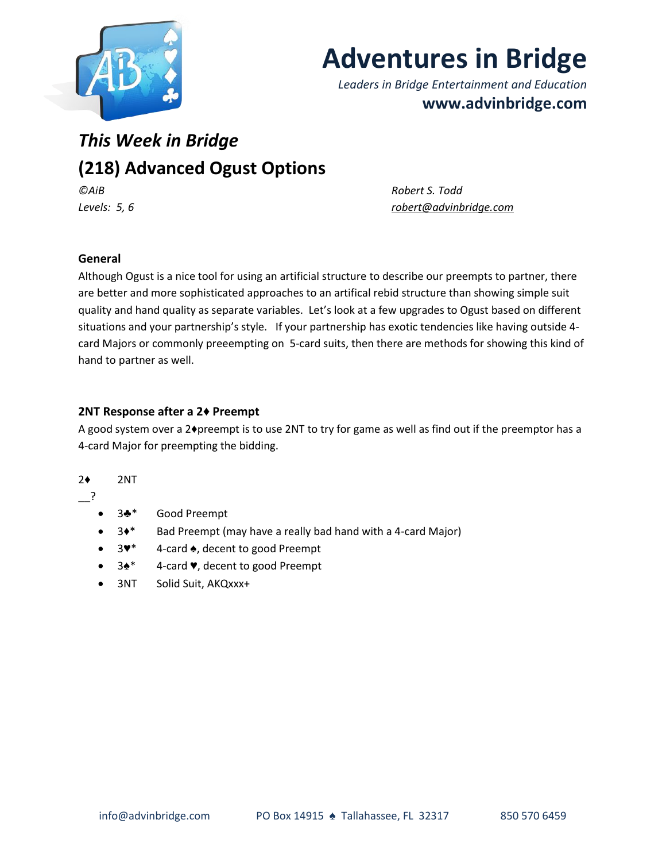

# **Adventures in Bridge**

*Leaders in Bridge Entertainment and Education* **www.advinbridge.com**

# *This Week in Bridge*  **(218) Advanced Ogust Options**

*©AiB Robert S. Todd Levels: 5, 6 [robert@advinbridge.com](mailto:robert@advinbridge.com)*

## **General**

Although Ogust is a nice tool for using an artificial structure to describe our preempts to partner, there are better and more sophisticated approaches to an artifical rebid structure than showing simple suit quality and hand quality as separate variables. Let's look at a few upgrades to Ogust based on different situations and your partnership's style. If your partnership has exotic tendencies like having outside 4 card Majors or commonly preeempting on 5-card suits, then there are methods for showing this kind of hand to partner as well.

### **2NT Response after a 2♦ Preempt**

A good system over a 2♦preempt is to use 2NT to try for game as well as find out if the preemptor has a 4-card Major for preempting the bidding.

#### 2♦ 2NT

\_\_?

- 3♣<sup>\*</sup> Good Preempt
- 3♦\* Bad Preempt (may have a really bad hand with a 4-card Major)
- 3♥\* 4-card ♠, decent to good Preempt
- 3♠\* 4-card ♥, decent to good Preempt
- 3NT Solid Suit, AKQxxx+